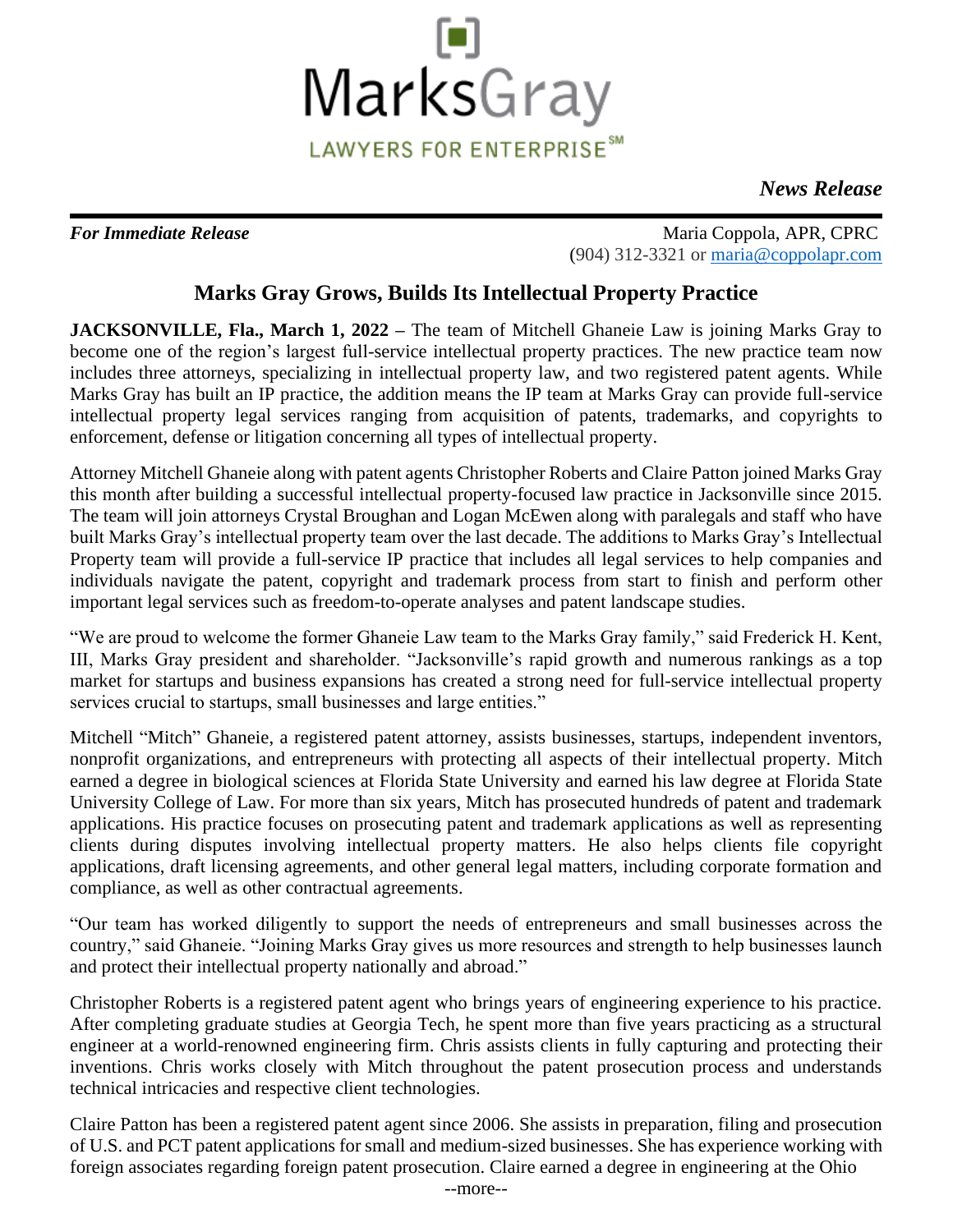

*News Release*

*For Immediate Release* Maria Coppola, APR, CPRC (904) 312-3321 or [maria@coppolapr.com](mailto:maria@coppolapr.com)

## **Marks Gray Grows, Builds Its Intellectual Property Practice**

**JACKSONVILLE, Fla., March 1, 2022 – The team of Mitchell Ghaneie Law is joining Marks Gray to** become one of the region's largest full-service intellectual property practices. The new practice team now includes three attorneys, specializing in intellectual property law, and two registered patent agents. While Marks Gray has built an IP practice, the addition means the IP team at Marks Gray can provide full-service intellectual property legal services ranging from acquisition of patents, trademarks, and copyrights to enforcement, defense or litigation concerning all types of intellectual property.

Attorney Mitchell Ghaneie along with patent agents Christopher Roberts and Claire Patton joined Marks Gray this month after building a successful intellectual property-focused law practice in Jacksonville since 2015. The team will join attorneys Crystal Broughan and Logan McEwen along with paralegals and staff who have built Marks Gray's intellectual property team over the last decade. The additions to Marks Gray's Intellectual Property team will provide a full-service IP practice that includes all legal services to help companies and individuals navigate the patent, copyright and trademark process from start to finish and perform other important legal services such as freedom-to-operate analyses and patent landscape studies.

"We are proud to welcome the former Ghaneie Law team to the Marks Gray family," said Frederick H. Kent, III, Marks Gray president and shareholder. "Jacksonville's rapid growth and numerous rankings as a top market for startups and business expansions has created a strong need for full-service intellectual property services crucial to startups, small businesses and large entities."

Mitchell "Mitch" Ghaneie, a registered patent attorney, assists businesses, startups, independent inventors, nonprofit organizations, and entrepreneurs with protecting all aspects of their intellectual property. Mitch earned a degree in biological sciences at Florida State University and earned his law degree at Florida State University College of Law. For more than six years, Mitch has prosecuted hundreds of patent and trademark applications. His practice focuses on prosecuting patent and trademark applications as well as representing clients during disputes involving intellectual property matters. He also helps clients file copyright applications, draft licensing agreements, and other general legal matters, including corporate formation and compliance, as well as other contractual agreements.

"Our team has worked diligently to support the needs of entrepreneurs and small businesses across the country," said Ghaneie. "Joining Marks Gray gives us more resources and strength to help businesses launch and protect their intellectual property nationally and abroad."

Christopher Roberts is a registered patent agent who brings years of engineering experience to his practice. After completing graduate studies at Georgia Tech, he spent more than five years practicing as a structural engineer at a world-renowned engineering firm. Chris assists clients in fully capturing and protecting their inventions. Chris works closely with Mitch throughout the patent prosecution process and understands technical intricacies and respective client technologies.

Claire Patton has been a registered patent agent since 2006. She assists in preparation, filing and prosecution of U.S. and PCT patent applications for small and medium-sized businesses. She has experience working with foreign associates regarding foreign patent prosecution. Claire earned a degree in engineering at the Ohio